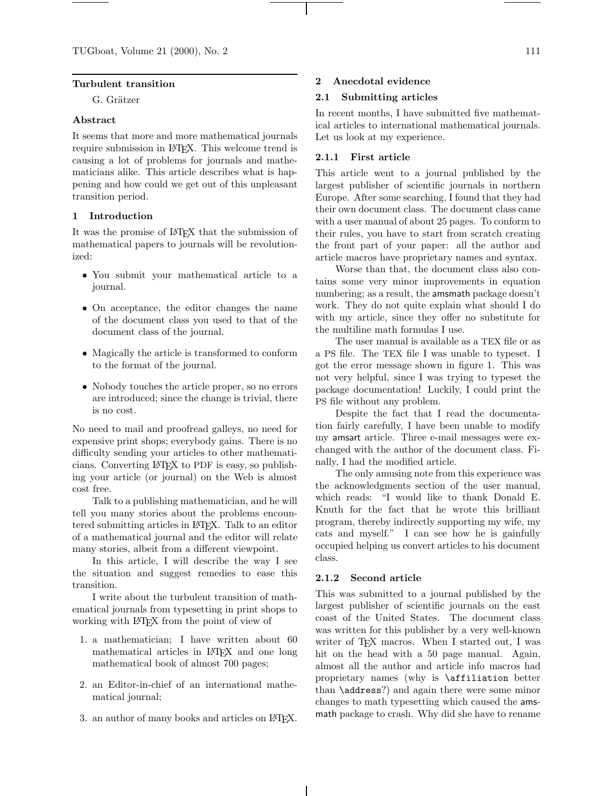### **Turbulent transition**

G. Grätzer

## **Abstract**

It seems that more and more mathematical journals require submission in LAT<sub>EX</sub>. This welcome trend is causing a lot of problems for journals and mathematicians alike. This article describes what is happening and how could we get out of this unpleasant transition period.

# **1 Introduction**

It was the promise of LATEX that the submission of mathematical papers to journals will be revolutionized:

- *•* You submit your mathematical article to a journal.
- *•* On acceptance, the editor changes the name of the document class you used to that of the document class of the journal.
- *•* Magically the article is transformed to conform to the format of the journal.
- Nobody touches the article proper, so no errors are introduced; since the change is trivial, there is no cost.

No need to mail and proofread galleys, no need for expensive print shops; everybody gains. There is no difficulty sending your articles to other mathematicians. Converting LATEX to PDF is easy, so publishing your article (or journal) on the Web is almost cost free.

Talk to a publishing mathematician, and he will tell you many stories about the problems encountered submitting articles in LATEX. Talk to an editor of a mathematical journal and the editor will relate many stories, albeit from a different viewpoint.

In this article, I will describe the way I see the situation and suggest remedies to ease this transition.

I write about the turbulent transition of mathematical journals from typesetting in print shops to working with LAT<sub>EX</sub> from the point of view of

- 1. a mathematician; I have written about 60 mathematical articles in LATEX and one long mathematical book of almost 700 pages;
- 2. an Editor-in-chief of an international mathematical journal;
- 3. an author of many books and articles on IATEX.

### **2 Anecdotal evidence**

### **2.1 Submitting articles**

In recent months, I have submitted five mathematical articles to international mathematical journals. Let us look at my experience.

### **2.1.1 First article**

This article went to a journal published by the largest publisher of scientific journals in northern Europe. After some searching, I found that they had their own document class. The document class came with a user manual of about 25 pages. To conform to their rules, you have to start from scratch creating the front part of your paper: all the author and article macros have proprietary names and syntax.

Worse than that, the document class also contains some very minor improvements in equation numbering; as a result, the amsmath package doesn't work. They do not quite explain what should I do with my article, since they offer no substitute for the multiline math formulas I use.

The user manual is available as a TEX file or as a PS file. The TEX file I was unable to typeset. I got the error message shown in figure 1. This was not very helpful, since I was trying to typeset the package documentation! Luckily, I could print the PS file without any problem.

Despite the fact that I read the documentation fairly carefully, I have been unable to modify my amsart article. Three e-mail messages were exchanged with the author of the document class. Finally, I had the modified article.

The only amusing note from this experience was the acknowledgments section of the user manual, which reads: "I would like to thank Donald E. Knuth for the fact that he wrote this brilliant program, thereby indirectly supporting my wife, my cats and myself." I can see how he is gainfully occupied helping us convert articles to his document class.

#### **2.1.2 Second article**

This was submitted to a journal published by the largest publisher of scientific journals on the east coast of the United States. The document class was written for this publisher by a very well-known writer of T<sub>E</sub>X macros. When I started out, I was hit on the head with a 50 page manual. Again, almost all the author and article info macros had proprietary names (why is \affiliation better than \address?) and again there were some minor changes to math typesetting which caused the amsmath package to crash. Why did she have to rename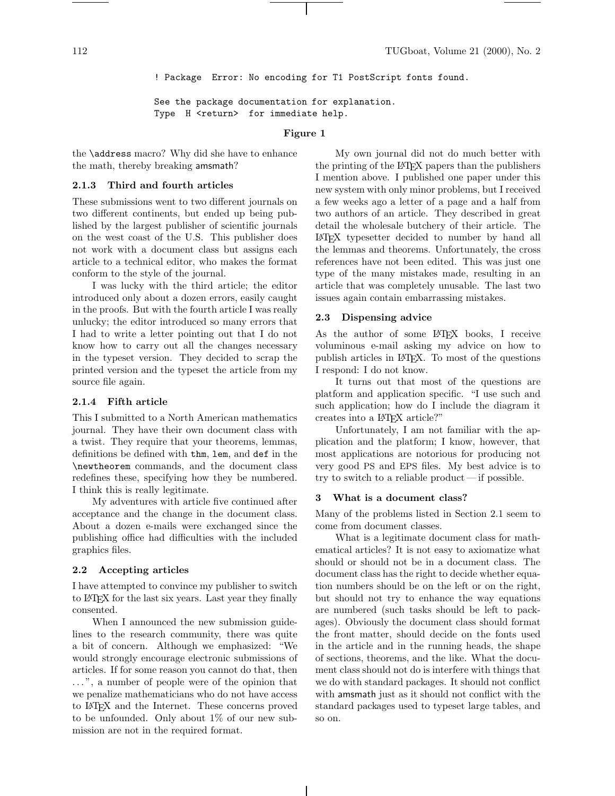! Package Error: No encoding for T1 PostScript fonts found.

See the package documentation for explanation. Type H <return> for immediate help.

### **Figure 1**

the \address macro? Why did she have to enhance the math, thereby breaking amsmath?

## **2.1.3 Third and fourth articles**

These submissions went to two different journals on two different continents, but ended up being published by the largest publisher of scientific journals on the west coast of the U.S. This publisher does not work with a document class but assigns each article to a technical editor, who makes the format conform to the style of the journal.

I was lucky with the third article; the editor introduced only about a dozen errors, easily caught in the proofs. But with the fourth article I was really unlucky; the editor introduced so many errors that I had to write a letter pointing out that I do not know how to carry out all the changes necessary in the typeset version. They decided to scrap the printed version and the typeset the article from my source file again.

## **2.1.4 Fifth article**

This I submitted to a North American mathematics journal. They have their own document class with a twist. They require that your theorems, lemmas, definitions be defined with thm, lem, and def in the \newtheorem commands, and the document class redefines these, specifying how they be numbered. I think this is really legitimate.

My adventures with article five continued after acceptance and the change in the document class. About a dozen e-mails were exchanged since the publishing office had difficulties with the included graphics files.

## **2.2 Accepting articles**

I have attempted to convince my publisher to switch to LATEX for the last six years. Last year they finally consented.

When I announced the new submission guidelines to the research community, there was quite a bit of concern. Although we emphasized: "We would strongly encourage electronic submissions of articles. If for some reason you cannot do that, then . . . ", a number of people were of the opinion that we penalize mathematicians who do not have access to LATEX and the Internet. These concerns proved to be unfounded. Only about 1% of our new submission are not in the required format.

My own journal did not do much better with the printing of the LATEX papers than the publishers I mention above. I published one paper under this new system with only minor problems, but I received a few weeks ago a letter of a page and a half from two authors of an article. They described in great detail the wholesale butchery of their article. The LATEX typesetter decided to number by hand all the lemmas and theorems. Unfortunately, the cross references have not been edited. This was just one type of the many mistakes made, resulting in an article that was completely unusable. The last two issues again contain embarrassing mistakes.

### **2.3 Dispensing advice**

As the author of some LAT<sub>F</sub>X books, I receive voluminous e-mail asking my advice on how to publish articles in LATEX. To most of the questions I respond: I do not know.

It turns out that most of the questions are platform and application specific. "I use such and such application; how do I include the diagram it creates into a LATEX article?"

Unfortunately, I am not familiar with the application and the platform; I know, however, that most applications are notorious for producing not very good PS and EPS files. My best advice is to try to switch to a reliable product— if possible.

#### **3 What is a document class?**

Many of the problems listed in Section 2.1 seem to come from document classes.

What is a legitimate document class for mathematical articles? It is not easy to axiomatize what should or should not be in a document class. The document class has the right to decide whether equation numbers should be on the left or on the right, but should not try to enhance the way equations are numbered (such tasks should be left to packages). Obviously the document class should format the front matter, should decide on the fonts used in the article and in the running heads, the shape of sections, theorems, and the like. What the document class should not do is interfere with things that we do with standard packages. It should not conflict with amsmath just as it should not conflict with the standard packages used to typeset large tables, and so on.